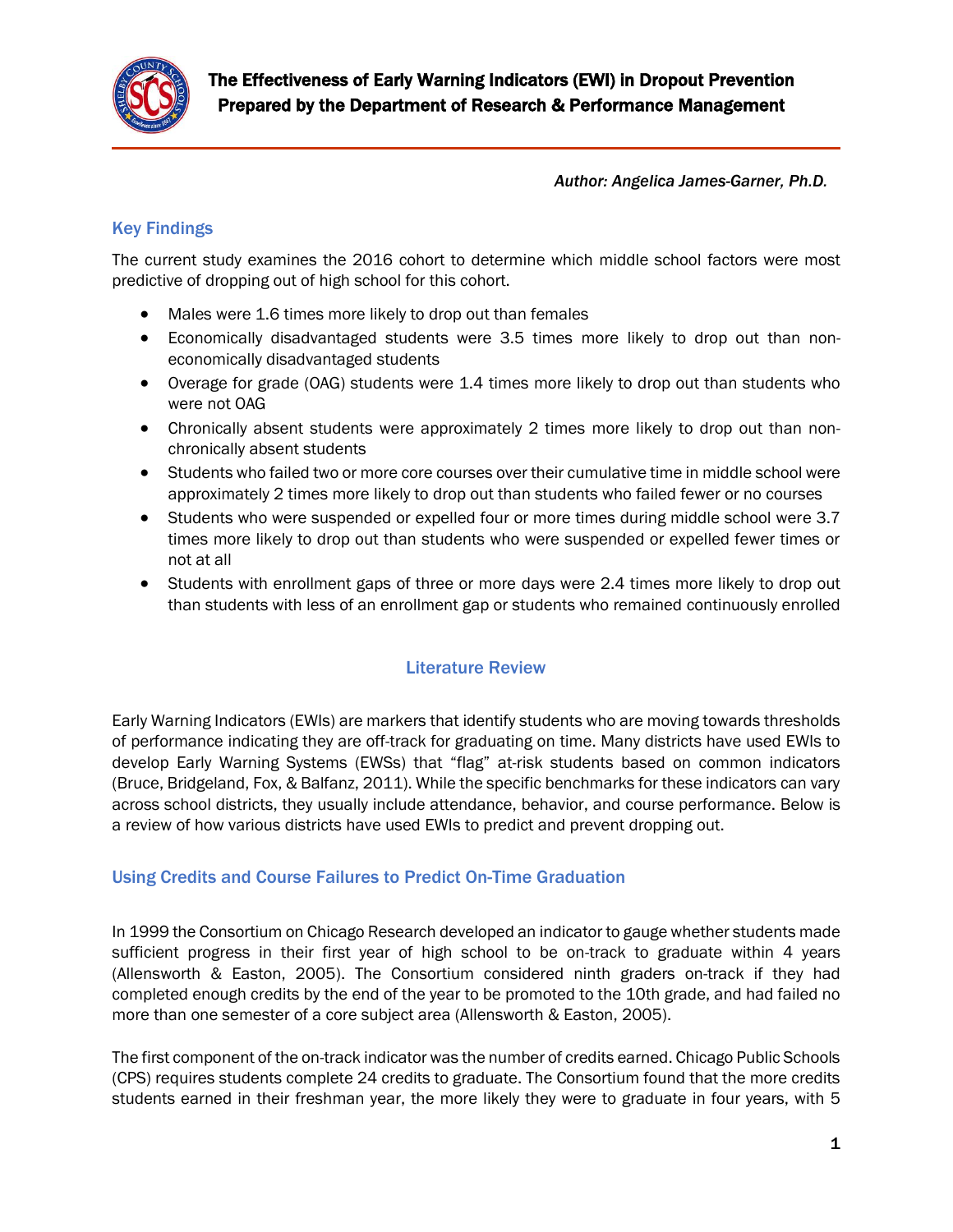

*Author: Angelica James-Garner, Ph.D.*

## Key Findings

The current study examines the 2016 cohort to determine which middle school factors were most predictive of dropping out of high school for this cohort.

- Males were 1.6 times more likely to drop out than females
- Economically disadvantaged students were 3.5 times more likely to drop out than noneconomically disadvantaged students
- Overage for grade (OAG) students were 1.4 times more likely to drop out than students who were not OAG
- Chronically absent students were approximately 2 times more likely to drop out than nonchronically absent students
- Students who failed two or more core courses over their cumulative time in middle school were approximately 2 times more likely to drop out than students who failed fewer or no courses
- Students who were suspended or expelled four or more times during middle school were 3.7 times more likely to drop out than students who were suspended or expelled fewer times or not at all
- Students with enrollment gaps of three or more days were 2.4 times more likely to drop out than students with less of an enrollment gap or students who remained continuously enrolled

#### Literature Review

Early Warning Indicators (EWIs) are markers that identify students who are moving towards thresholds of performance indicating they are off-track for graduating on time. Many districts have used EWIs to develop Early Warning Systems (EWSs) that "flag" at-risk students based on common indicators (Bruce, Bridgeland, Fox, & Balfanz, 2011). While the specific benchmarks for these indicators can vary across school districts, they usually include attendance, behavior, and course performance. Below is a review of how various districts have used EWIs to predict and prevent dropping out.

#### Using Credits and Course Failures to Predict On-Time Graduation

In 1999 the Consortium on Chicago Research developed an indicator to gauge whether students made sufficient progress in their first year of high school to be on-track to graduate within 4 years (Allensworth & Easton, 2005). The Consortium considered ninth graders on-track if they had completed enough credits by the end of the year to be promoted to the 10th grade, and had failed no more than one semester of a core subject area (Allensworth & Easton, 2005).

The first component of the on-track indicator was the number of credits earned. Chicago Public Schools (CPS) requires students complete 24 credits to graduate. The Consortium found that the more credits students earned in their freshman year, the more likely they were to graduate in four years, with 5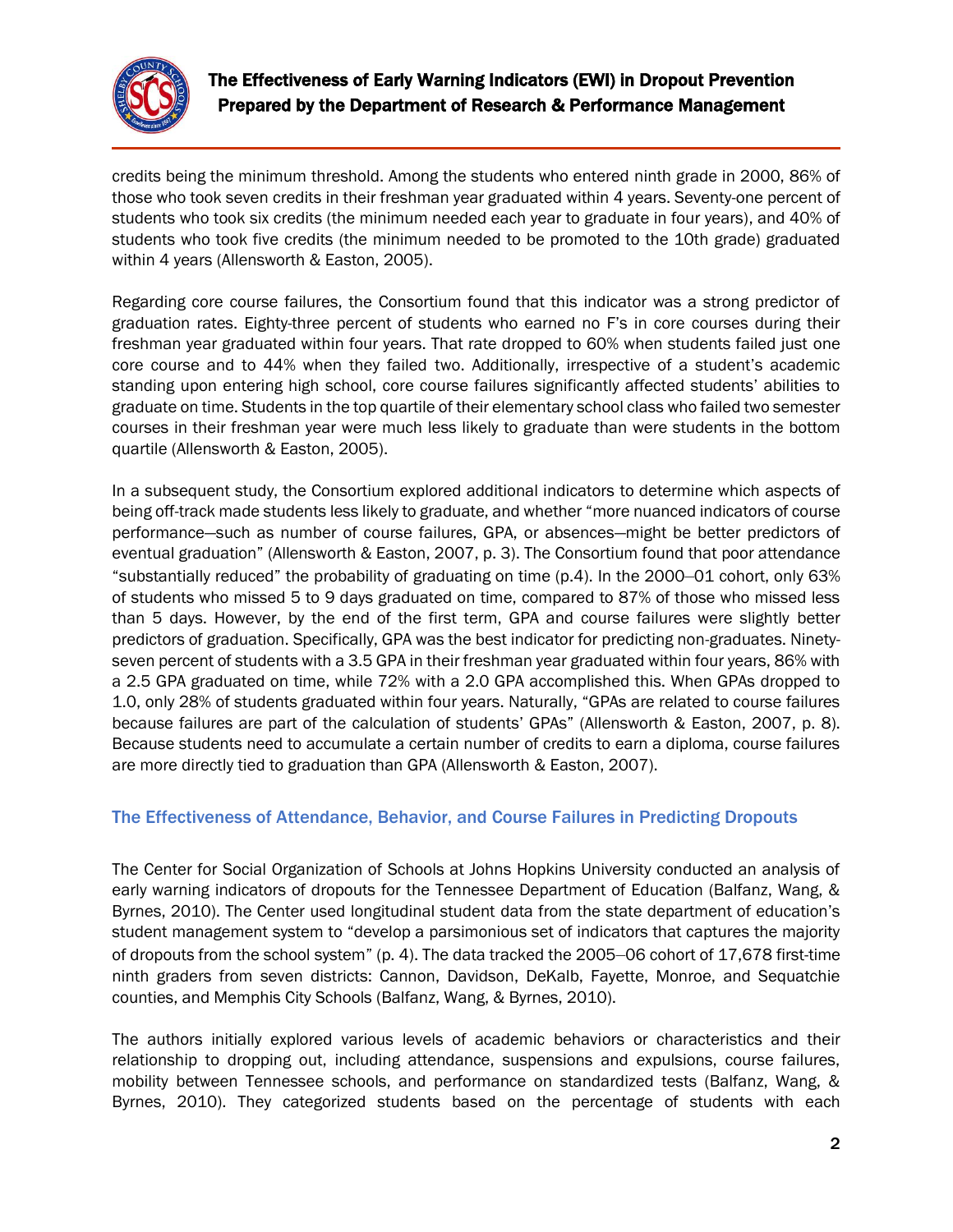

credits being the minimum threshold. Among the students who entered ninth grade in 2000, 86% of those who took seven credits in their freshman year graduated within 4 years. Seventy-one percent of students who took six credits (the minimum needed each year to graduate in four years), and 40% of students who took five credits (the minimum needed to be promoted to the 10th grade) graduated within 4 years (Allensworth & Easton, 2005).

Regarding core course failures, the Consortium found that this indicator was a strong predictor of graduation rates. Eighty-three percent of students who earned no F's in core courses during their freshman year graduated within four years. That rate dropped to 60% when students failed just one core course and to 44% when they failed two. Additionally, irrespective of a student's academic standing upon entering high school, core course failures significantly affected students' abilities to graduate on time. Students in the top quartile of their elementary school class who failed two semester courses in their freshman year were much less likely to graduate than were students in the bottom quartile (Allensworth & Easton, 2005).

In a subsequent study, the Consortium explored additional indicators to determine which aspects of being off-track made students less likely to graduate, and whether "more nuanced indicators of course performance—such as number of course failures, GPA, or absences—might be better predictors of eventual graduation" (Allensworth & Easton, 2007, p. 3). The Consortium found that poor attendance "substantially reduced" the probability of graduating on time (p.4). In the 2000–01 cohort, only 63% of students who missed 5 to 9 days graduated on time, compared to 87% of those who missed less than 5 days. However, by the end of the first term, GPA and course failures were slightly better predictors of graduation. Specifically, GPA was the best indicator for predicting non-graduates. Ninetyseven percent of students with a 3.5 GPA in their freshman year graduated within four years, 86% with a 2.5 GPA graduated on time, while 72% with a 2.0 GPA accomplished this. When GPAs dropped to 1.0, only 28% of students graduated within four years. Naturally, "GPAs are related to course failures because failures are part of the calculation of students' GPAs" (Allensworth & Easton, 2007, p. 8). Because students need to accumulate a certain number of credits to earn a diploma, course failures are more directly tied to graduation than GPA (Allensworth & Easton, 2007).

### The Effectiveness of Attendance, Behavior, and Course Failures in Predicting Dropouts

The Center for Social Organization of Schools at Johns Hopkins University conducted an analysis of early warning indicators of dropouts for the Tennessee Department of Education (Balfanz, Wang, & Byrnes, 2010). The Center used longitudinal student data from the state department of education's student management system to "develop a parsimonious set of indicators that captures the majority of dropouts from the school system" (p. 4). The data tracked the 2005–06 cohort of 17,678 first-time ninth graders from seven districts: Cannon, Davidson, DeKalb, Fayette, Monroe, and Sequatchie counties, and Memphis City Schools (Balfanz, Wang, & Byrnes, 2010).

The authors initially explored various levels of academic behaviors or characteristics and their relationship to dropping out, including attendance, suspensions and expulsions, course failures, mobility between Tennessee schools, and performance on standardized tests (Balfanz, Wang, & Byrnes, 2010). They categorized students based on the percentage of students with each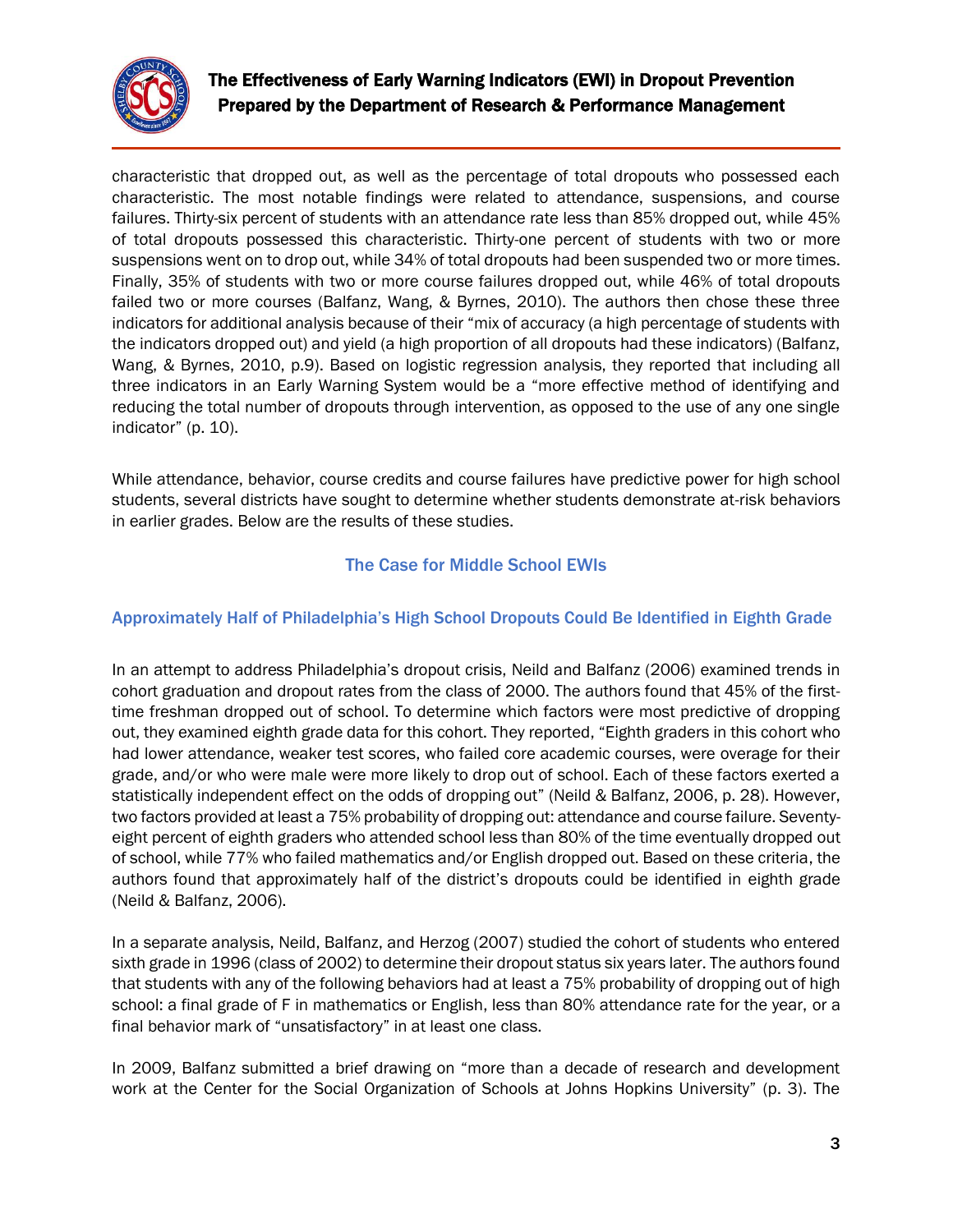

characteristic that dropped out, as well as the percentage of total dropouts who possessed each characteristic. The most notable findings were related to attendance, suspensions, and course failures. Thirty-six percent of students with an attendance rate less than 85% dropped out, while 45% of total dropouts possessed this characteristic. Thirty-one percent of students with two or more suspensions went on to drop out, while 34% of total dropouts had been suspended two or more times. Finally, 35% of students with two or more course failures dropped out, while 46% of total dropouts failed two or more courses (Balfanz, Wang, & Byrnes, 2010). The authors then chose these three indicators for additional analysis because of their "mix of accuracy (a high percentage of students with the indicators dropped out) and yield (a high proportion of all dropouts had these indicators) (Balfanz, Wang, & Byrnes, 2010, p.9). Based on logistic regression analysis, they reported that including all three indicators in an Early Warning System would be a "more effective method of identifying and reducing the total number of dropouts through intervention, as opposed to the use of any one single indicator" (p. 10).

While attendance, behavior, course credits and course failures have predictive power for high school students, several districts have sought to determine whether students demonstrate at-risk behaviors in earlier grades. Below are the results of these studies.

## The Case for Middle School EWIs

### Approximately Half of Philadelphia's High School Dropouts Could Be Identified in Eighth Grade

In an attempt to address Philadelphia's dropout crisis, Neild and Balfanz (2006) examined trends in cohort graduation and dropout rates from the class of 2000. The authors found that 45% of the firsttime freshman dropped out of school. To determine which factors were most predictive of dropping out, they examined eighth grade data for this cohort. They reported, "Eighth graders in this cohort who had lower attendance, weaker test scores, who failed core academic courses, were overage for their grade, and/or who were male were more likely to drop out of school. Each of these factors exerted a statistically independent effect on the odds of dropping out" (Neild & Balfanz, 2006, p. 28). However, two factors provided at least a 75% probability of dropping out: attendance and course failure. Seventyeight percent of eighth graders who attended school less than 80% of the time eventually dropped out of school, while 77% who failed mathematics and/or English dropped out. Based on these criteria, the authors found that approximately half of the district's dropouts could be identified in eighth grade (Neild & Balfanz, 2006).

In a separate analysis, Neild, Balfanz, and Herzog (2007) studied the cohort of students who entered sixth grade in 1996 (class of 2002) to determine their dropout status six years later. The authors found that students with any of the following behaviors had at least a 75% probability of dropping out of high school: a final grade of F in mathematics or English, less than 80% attendance rate for the year, or a final behavior mark of "unsatisfactory" in at least one class.

In 2009, Balfanz submitted a brief drawing on "more than a decade of research and development work at the Center for the Social Organization of Schools at Johns Hopkins University" (p. 3). The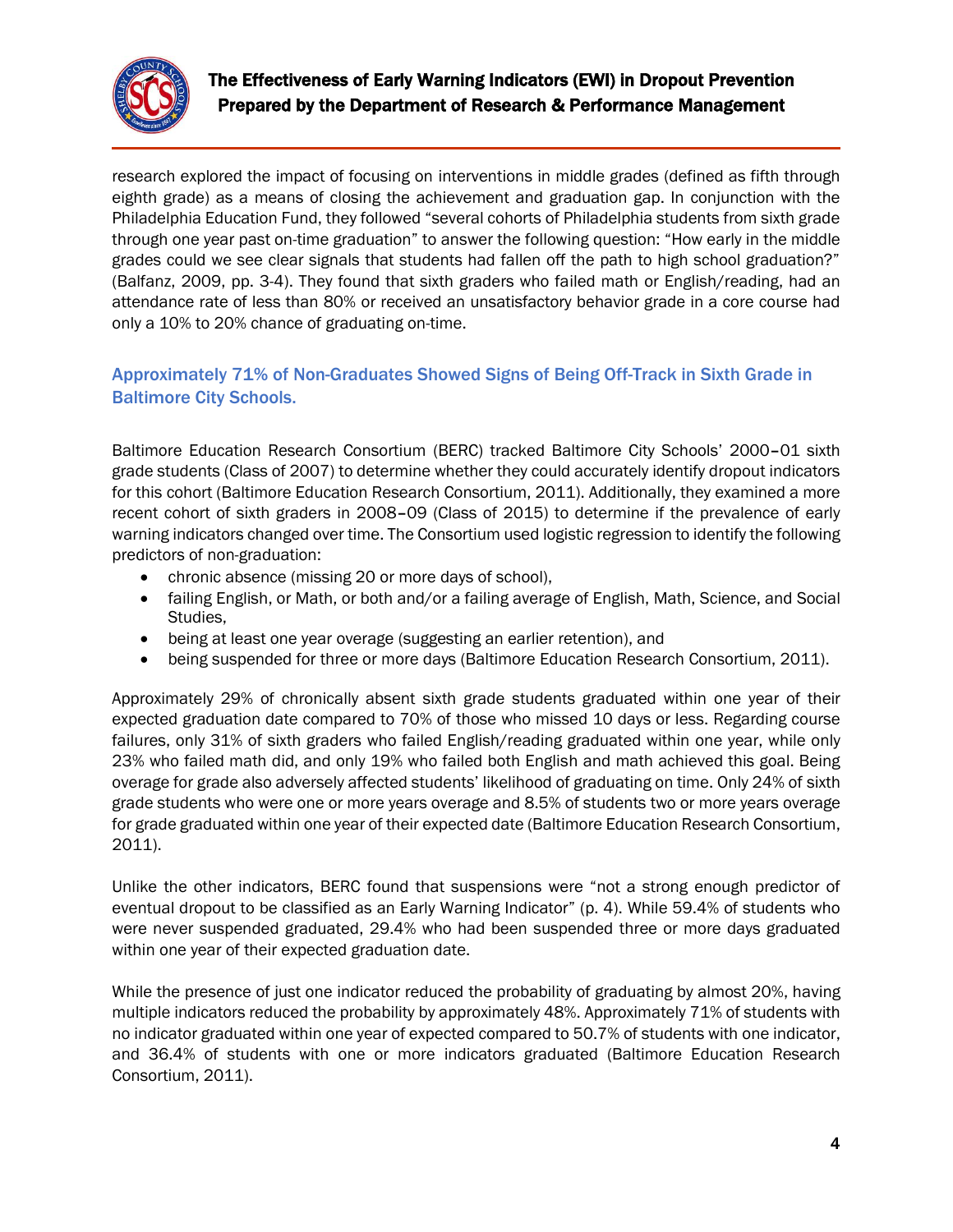

research explored the impact of focusing on interventions in middle grades (defined as fifth through eighth grade) as a means of closing the achievement and graduation gap. In conjunction with the Philadelphia Education Fund, they followed "several cohorts of Philadelphia students from sixth grade through one year past on-time graduation" to answer the following question: "How early in the middle grades could we see clear signals that students had fallen off the path to high school graduation?" (Balfanz, 2009, pp. 3-4). They found that sixth graders who failed math or English/reading, had an attendance rate of less than 80% or received an unsatisfactory behavior grade in a core course had only a 10% to 20% chance of graduating on-time.

### Approximately 71% of Non-Graduates Showed Signs of Being Off-Track in Sixth Grade in Baltimore City Schools.

Baltimore Education Research Consortium (BERC) tracked Baltimore City Schools' 2000–01 sixth grade students (Class of 2007) to determine whether they could accurately identify dropout indicators for this cohort (Baltimore Education Research Consortium, 2011). Additionally, they examined a more recent cohort of sixth graders in 2008–09 (Class of 2015) to determine if the prevalence of early warning indicators changed over time. The Consortium used logistic regression to identify the following predictors of non-graduation:

- chronic absence (missing 20 or more days of school),
- failing English, or Math, or both and/or a failing average of English, Math, Science, and Social Studies,
- being at least one year overage (suggesting an earlier retention), and
- being suspended for three or more days (Baltimore Education Research Consortium, 2011).

Approximately 29% of chronically absent sixth grade students graduated within one year of their expected graduation date compared to 70% of those who missed 10 days or less. Regarding course failures, only 31% of sixth graders who failed English/reading graduated within one year, while only 23% who failed math did, and only 19% who failed both English and math achieved this goal. Being overage for grade also adversely affected students' likelihood of graduating on time. Only 24% of sixth grade students who were one or more years overage and 8.5% of students two or more years overage for grade graduated within one year of their expected date (Baltimore Education Research Consortium, 2011).

Unlike the other indicators, BERC found that suspensions were "not a strong enough predictor of eventual dropout to be classified as an Early Warning Indicator" (p. 4). While 59.4% of students who were never suspended graduated, 29.4% who had been suspended three or more days graduated within one year of their expected graduation date.

While the presence of just one indicator reduced the probability of graduating by almost 20%, having multiple indicators reduced the probability by approximately 48%. Approximately 71% of students with no indicator graduated within one year of expected compared to 50.7% of students with one indicator, and 36.4% of students with one or more indicators graduated (Baltimore Education Research Consortium, 2011).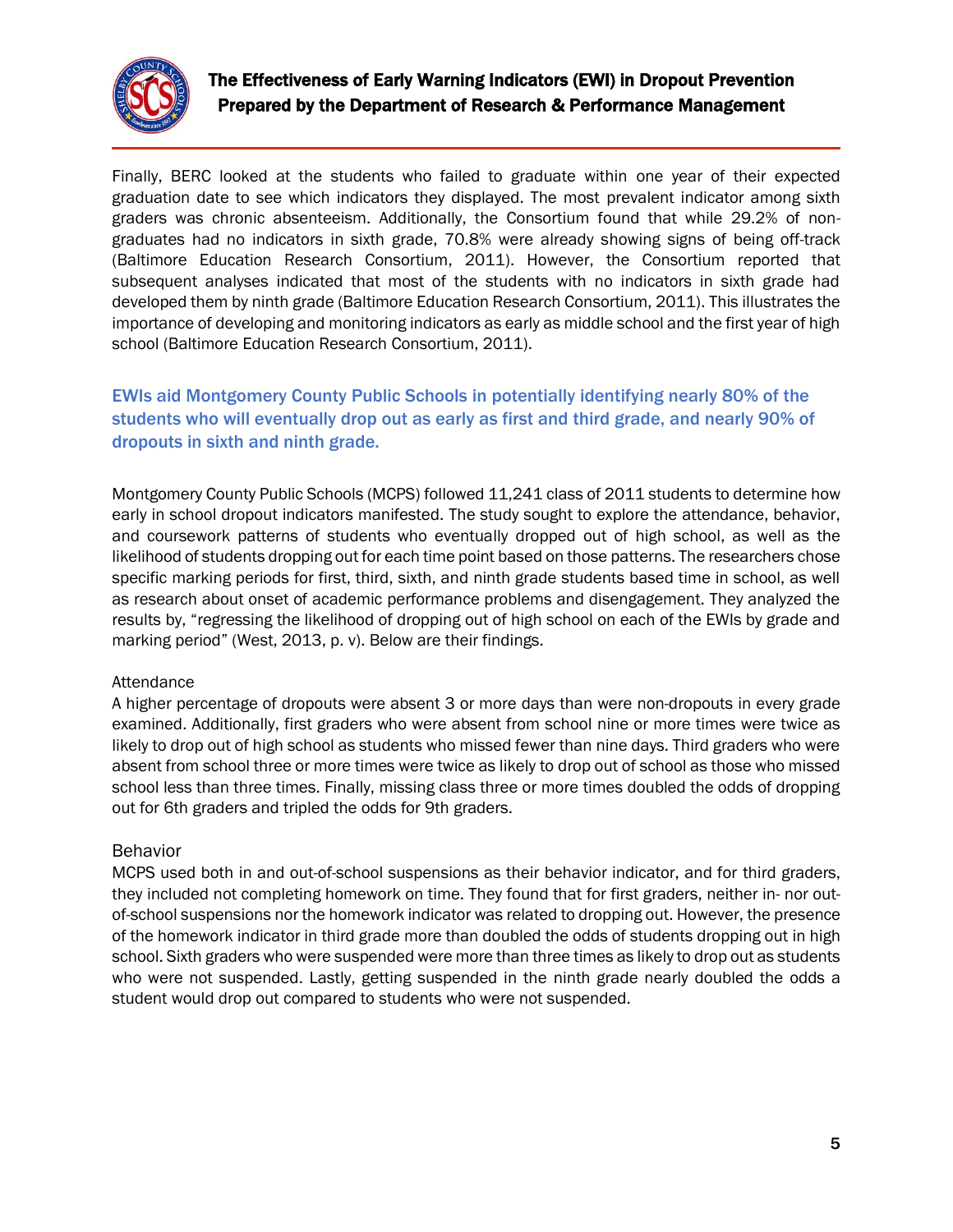

Finally, BERC looked at the students who failed to graduate within one year of their expected graduation date to see which indicators they displayed. The most prevalent indicator among sixth graders was chronic absenteeism. Additionally, the Consortium found that while 29.2% of nongraduates had no indicators in sixth grade, 70.8% were already showing signs of being off-track (Baltimore Education Research Consortium, 2011). However, the Consortium reported that subsequent analyses indicated that most of the students with no indicators in sixth grade had developed them by ninth grade (Baltimore Education Research Consortium, 2011). This illustrates the importance of developing and monitoring indicators as early as middle school and the first year of high school (Baltimore Education Research Consortium, 2011).

## EWIs aid Montgomery County Public Schools in potentially identifying nearly 80% of the students who will eventually drop out as early as first and third grade, and nearly 90% of dropouts in sixth and ninth grade.

Montgomery County Public Schools (MCPS) followed 11,241 class of 2011 students to determine how early in school dropout indicators manifested. The study sought to explore the attendance, behavior, and coursework patterns of students who eventually dropped out of high school, as well as the likelihood of students dropping out for each time point based on those patterns. The researchers chose specific marking periods for first, third, sixth, and ninth grade students based time in school, as well as research about onset of academic performance problems and disengagement. They analyzed the results by, "regressing the likelihood of dropping out of high school on each of the EWIs by grade and marking period" (West, 2013, p. v). Below are their findings.

#### Attendance

A higher percentage of dropouts were absent 3 or more days than were non-dropouts in every grade examined. Additionally, first graders who were absent from school nine or more times were twice as likely to drop out of high school as students who missed fewer than nine days. Third graders who were absent from school three or more times were twice as likely to drop out of school as those who missed school less than three times. Finally, missing class three or more times doubled the odds of dropping out for 6th graders and tripled the odds for 9th graders.

#### Behavior

MCPS used both in and out-of-school suspensions as their behavior indicator, and for third graders, they included not completing homework on time. They found that for first graders, neither in- nor outof-school suspensions nor the homework indicator was related to dropping out. However, the presence of the homework indicator in third grade more than doubled the odds of students dropping out in high school. Sixth graders who were suspended were more than three times as likely to drop out as students who were not suspended. Lastly, getting suspended in the ninth grade nearly doubled the odds a student would drop out compared to students who were not suspended.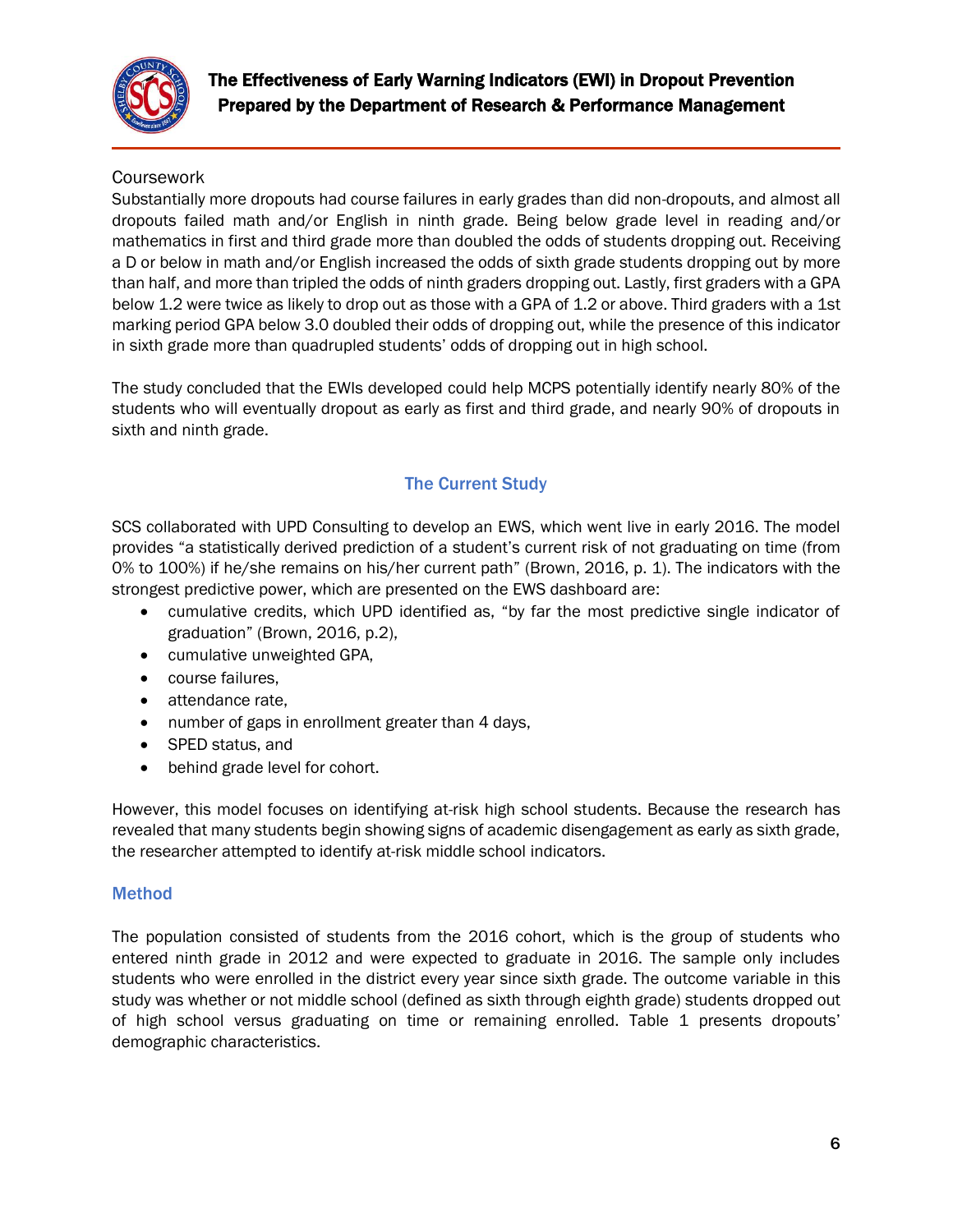

## **Coursework**

Substantially more dropouts had course failures in early grades than did non-dropouts, and almost all dropouts failed math and/or English in ninth grade. Being below grade level in reading and/or mathematics in first and third grade more than doubled the odds of students dropping out. Receiving a D or below in math and/or English increased the odds of sixth grade students dropping out by more than half, and more than tripled the odds of ninth graders dropping out. Lastly, first graders with a GPA below 1.2 were twice as likely to drop out as those with a GPA of 1.2 or above. Third graders with a 1st marking period GPA below 3.0 doubled their odds of dropping out, while the presence of this indicator in sixth grade more than quadrupled students' odds of dropping out in high school.

The study concluded that the EWIs developed could help MCPS potentially identify nearly 80% of the students who will eventually dropout as early as first and third grade, and nearly 90% of dropouts in sixth and ninth grade.

## The Current Study

SCS collaborated with UPD Consulting to develop an EWS, which went live in early 2016. The model provides "a statistically derived prediction of a student's current risk of not graduating on time (from 0% to 100%) if he/she remains on his/her current path" (Brown, 2016, p. 1). The indicators with the strongest predictive power, which are presented on the EWS dashboard are:

- cumulative credits, which UPD identified as, "by far the most predictive single indicator of graduation" (Brown, 2016, p.2),
- cumulative unweighted GPA,
- course failures.
- attendance rate,
- number of gaps in enrollment greater than 4 days,
- SPED status, and
- behind grade level for cohort.

However, this model focuses on identifying at-risk high school students. Because the research has revealed that many students begin showing signs of academic disengagement as early as sixth grade, the researcher attempted to identify at-risk middle school indicators.

#### Method

The population consisted of students from the 2016 cohort, which is the group of students who entered ninth grade in 2012 and were expected to graduate in 2016. The sample only includes students who were enrolled in the district every year since sixth grade. The outcome variable in this study was whether or not middle school (defined as sixth through eighth grade) students dropped out of high school versus graduating on time or remaining enrolled. Table 1 presents dropouts' demographic characteristics.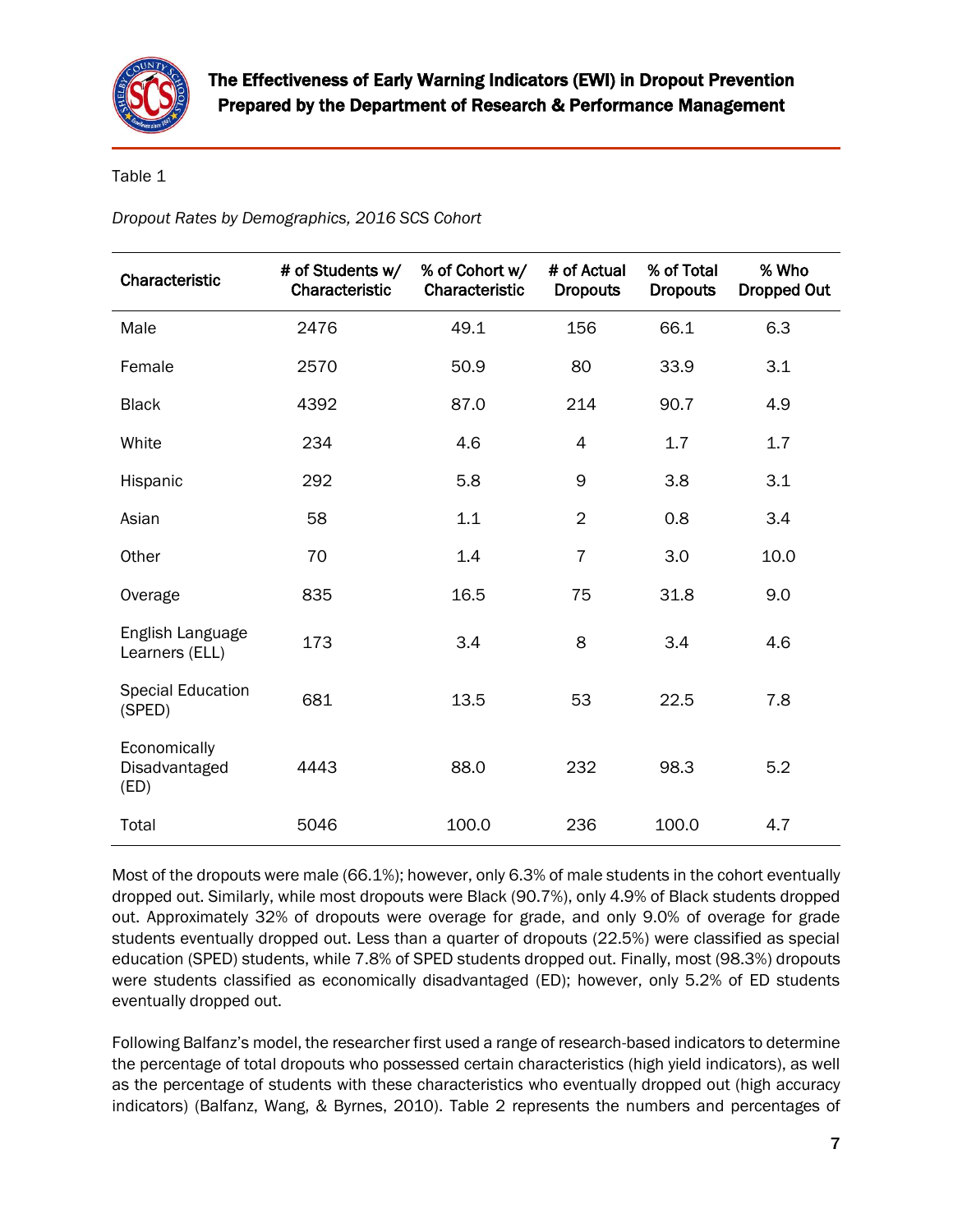

## Table 1

*Dropout Rates by Demographics, 2016 SCS Cohort*

| Characteristic                        | # of Students w/<br>Characteristic | % of Cohort w/<br>Characteristic | # of Actual<br><b>Dropouts</b> | % of Total<br><b>Dropouts</b> | % Who<br><b>Dropped Out</b> |  |
|---------------------------------------|------------------------------------|----------------------------------|--------------------------------|-------------------------------|-----------------------------|--|
| Male                                  | 2476                               | 49.1                             | 156                            | 66.1                          | 6.3                         |  |
| Female                                | 2570                               | 50.9                             | 80                             | 33.9                          | 3.1                         |  |
| <b>Black</b>                          | 4392                               | 87.0                             | 214                            | 90.7                          | 4.9                         |  |
| White                                 | 234                                | 4.6                              | 4                              | 1.7                           | 1.7                         |  |
| Hispanic                              | 292                                | 5.8                              | 9                              | 3.8                           | 3.1                         |  |
| Asian                                 | 58                                 | 1.1                              | $\overline{2}$                 | 0.8                           | 3.4                         |  |
| Other                                 | 70                                 | 1.4                              | $\overline{7}$                 | 3.0                           | 10.0                        |  |
| Overage                               | 835                                | 16.5                             | 75                             | 31.8                          | 9.0                         |  |
| English Language<br>Learners (ELL)    | 173                                | 3.4                              | 8                              | 3.4                           | 4.6                         |  |
| <b>Special Education</b><br>(SPED)    | 681                                | 13.5                             | 53                             | 22.5                          | 7.8                         |  |
| Economically<br>Disadvantaged<br>(ED) | 4443                               | 88.0                             | 232                            | 98.3                          | 5.2                         |  |
| Total                                 | 5046                               | 100.0                            | 236                            | 100.0                         | 4.7                         |  |

Most of the dropouts were male (66.1%); however, only 6.3% of male students in the cohort eventually dropped out. Similarly, while most dropouts were Black (90.7%), only 4.9% of Black students dropped out. Approximately 32% of dropouts were overage for grade, and only 9.0% of overage for grade students eventually dropped out. Less than a quarter of dropouts (22.5%) were classified as special education (SPED) students, while 7.8% of SPED students dropped out. Finally, most (98.3%) dropouts were students classified as economically disadvantaged (ED); however, only 5.2% of ED students eventually dropped out.

Following Balfanz's model, the researcher first used a range of research-based indicators to determine the percentage of total dropouts who possessed certain characteristics (high yield indicators), as well as the percentage of students with these characteristics who eventually dropped out (high accuracy indicators) (Balfanz, Wang, & Byrnes, 2010). Table 2 represents the numbers and percentages of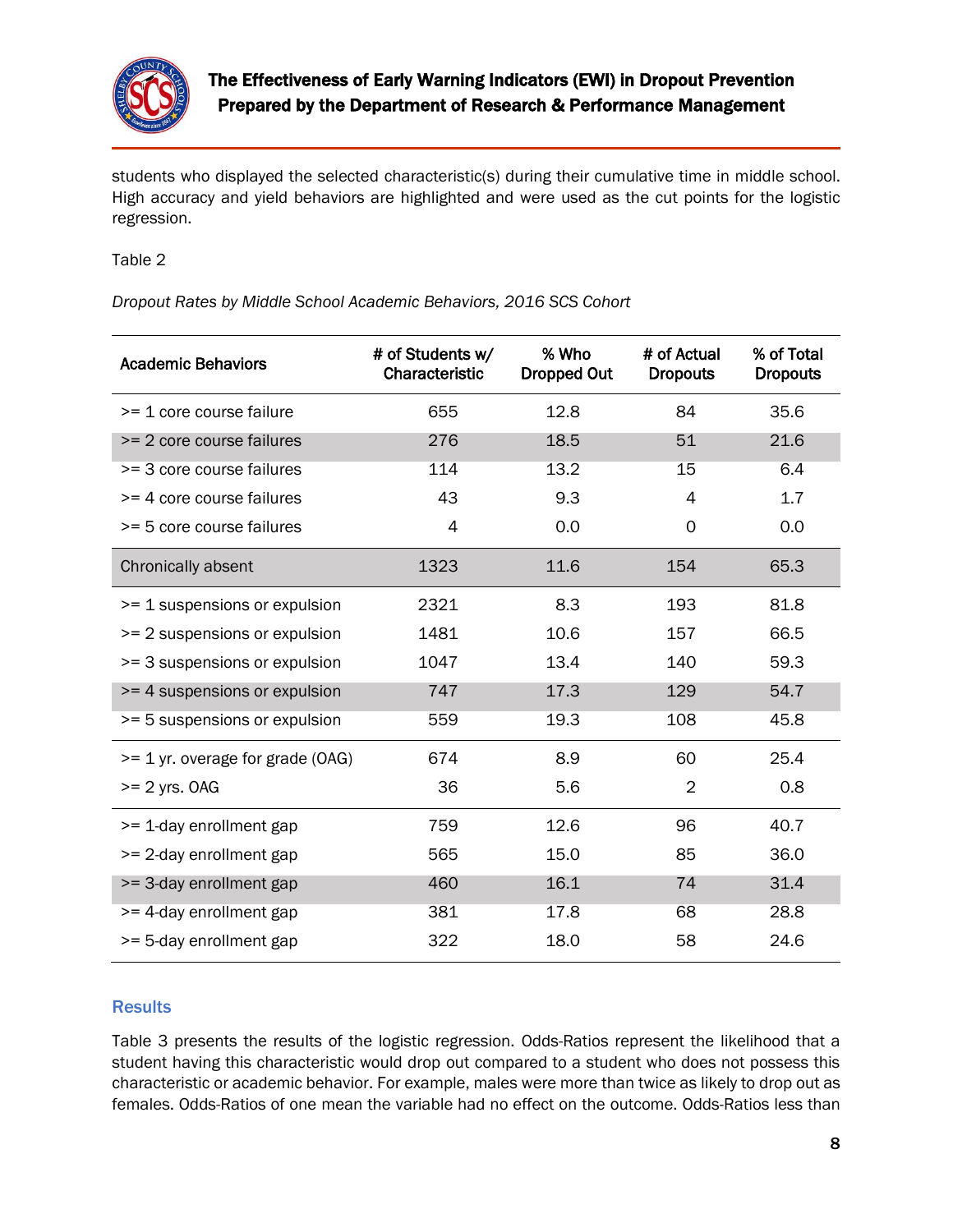

students who displayed the selected characteristic(s) during their cumulative time in middle school. High accuracy and yield behaviors are highlighted and were used as the cut points for the logistic regression.

Table 2

*Dropout Rates by Middle School Academic Behaviors, 2016 SCS Cohort*

| <b>Academic Behaviors</b>        | # of Students w/<br>Characteristic | % Who<br><b>Dropped Out</b> | # of Actual<br><b>Dropouts</b> | % of Total<br><b>Dropouts</b> |  |
|----------------------------------|------------------------------------|-----------------------------|--------------------------------|-------------------------------|--|
| >= 1 core course failure         | 655                                | 12.8                        | 84                             | 35.6                          |  |
| >= 2 core course failures        | 276                                | 18.5                        | 51                             | 21.6                          |  |
| >= 3 core course failures        | 114                                | 13.2                        | 15                             | 6.4                           |  |
| >= 4 core course failures        | 43                                 | 9.3                         | 4                              | 1.7                           |  |
| >= 5 core course failures        | 4                                  | 0.0                         | 0                              | 0.0                           |  |
| Chronically absent               | 1323                               | 11.6                        | 154                            | 65.3                          |  |
| >= 1 suspensions or expulsion    | 2321                               | 8.3                         | 193                            | 81.8                          |  |
| >= 2 suspensions or expulsion    | 1481                               | 10.6<br>157                 |                                | 66.5                          |  |
| >= 3 suspensions or expulsion    | 1047                               | 13.4                        | 140                            | 59.3                          |  |
| >= 4 suspensions or expulsion    | 747<br>17.3                        |                             | 129                            | 54.7                          |  |
| >= 5 suspensions or expulsion    | 559                                | 19.3<br>108                 |                                | 45.8                          |  |
| >= 1 yr. overage for grade (OAG) | 674                                | 8.9                         | 60                             | 25.4                          |  |
| $>= 2$ yrs. OAG                  | 36                                 | 5.6                         | $\overline{2}$                 | 0.8                           |  |
| >= 1-day enrollment gap          | 759                                | 12.6                        | 96                             | 40.7                          |  |
| >= 2-day enrollment gap          | 565                                | 15.0                        | 85                             | 36.0                          |  |
| >= 3-day enrollment gap          | 460                                | 16.1<br>74                  |                                | 31.4                          |  |
| >= 4-day enrollment gap          | 381                                | 17.8<br>68                  |                                | 28.8                          |  |
| >= 5-day enrollment gap          | 322                                | 18.0                        | 58                             | 24.6                          |  |

### **Results**

Table 3 presents the results of the logistic regression. Odds-Ratios represent the likelihood that a student having this characteristic would drop out compared to a student who does not possess this characteristic or academic behavior. For example, males were more than twice as likely to drop out as females. Odds-Ratios of one mean the variable had no effect on the outcome. Odds-Ratios less than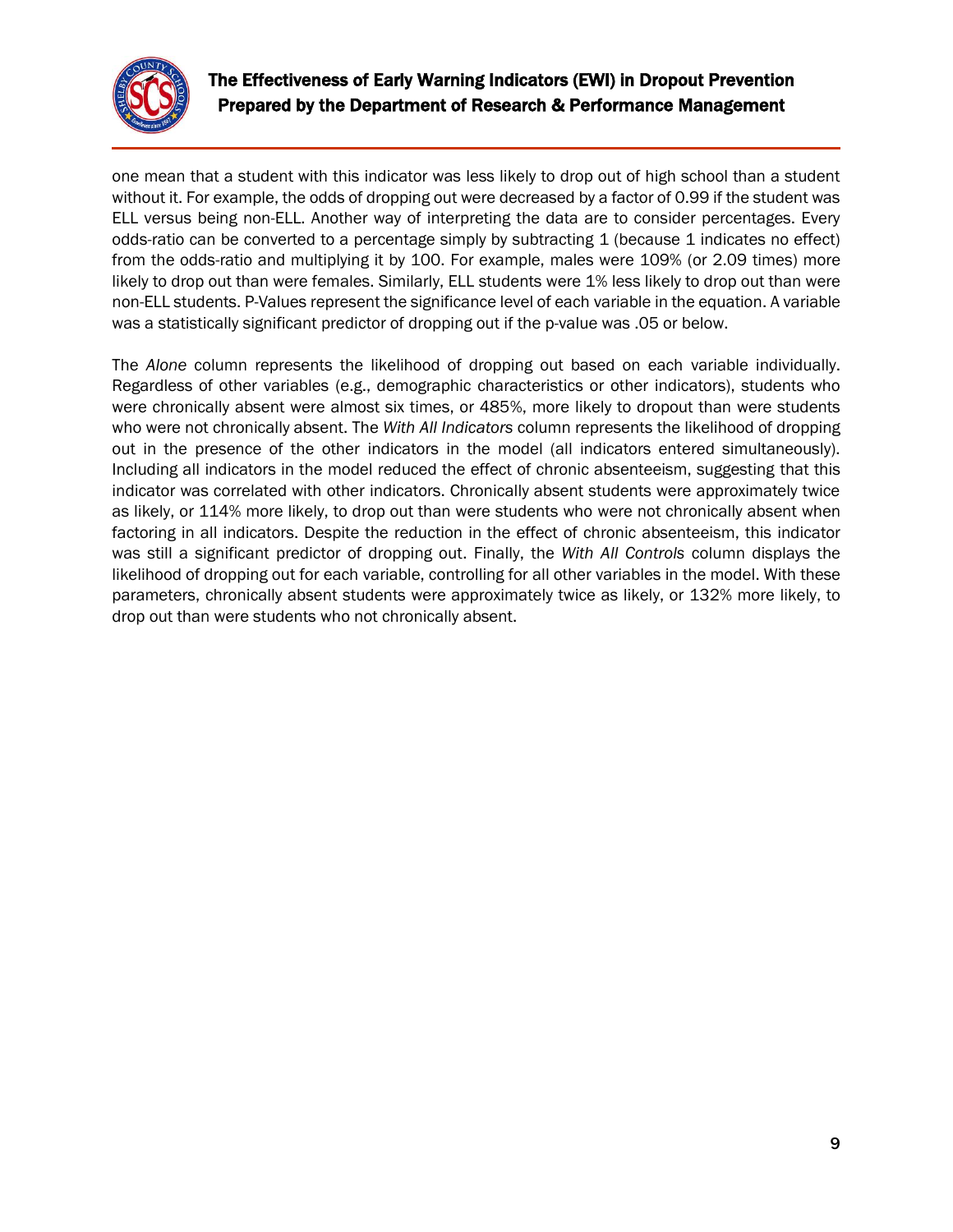

one mean that a student with this indicator was less likely to drop out of high school than a student without it. For example, the odds of dropping out were decreased by a factor of 0.99 if the student was ELL versus being non-ELL. Another way of interpreting the data are to consider percentages. Every odds-ratio can be converted to a percentage simply by subtracting 1 (because 1 indicates no effect) from the odds-ratio and multiplying it by 100. For example, males were 109% (or 2.09 times) more likely to drop out than were females. Similarly, ELL students were 1% less likely to drop out than were non-ELL students. P-Values represent the significance level of each variable in the equation. A variable was a statistically significant predictor of dropping out if the p-value was .05 or below.

The *Alone* column represents the likelihood of dropping out based on each variable individually. Regardless of other variables (e.g., demographic characteristics or other indicators), students who were chronically absent were almost six times, or 485%, more likely to dropout than were students who were not chronically absent. The *With All Indicators* column represents the likelihood of dropping out in the presence of the other indicators in the model (all indicators entered simultaneously). Including all indicators in the model reduced the effect of chronic absenteeism, suggesting that this indicator was correlated with other indicators. Chronically absent students were approximately twice as likely, or 114% more likely, to drop out than were students who were not chronically absent when factoring in all indicators. Despite the reduction in the effect of chronic absenteeism, this indicator was still a significant predictor of dropping out. Finally, the *With All Controls* column displays the likelihood of dropping out for each variable, controlling for all other variables in the model. With these parameters, chronically absent students were approximately twice as likely, or 132% more likely, to drop out than were students who not chronically absent.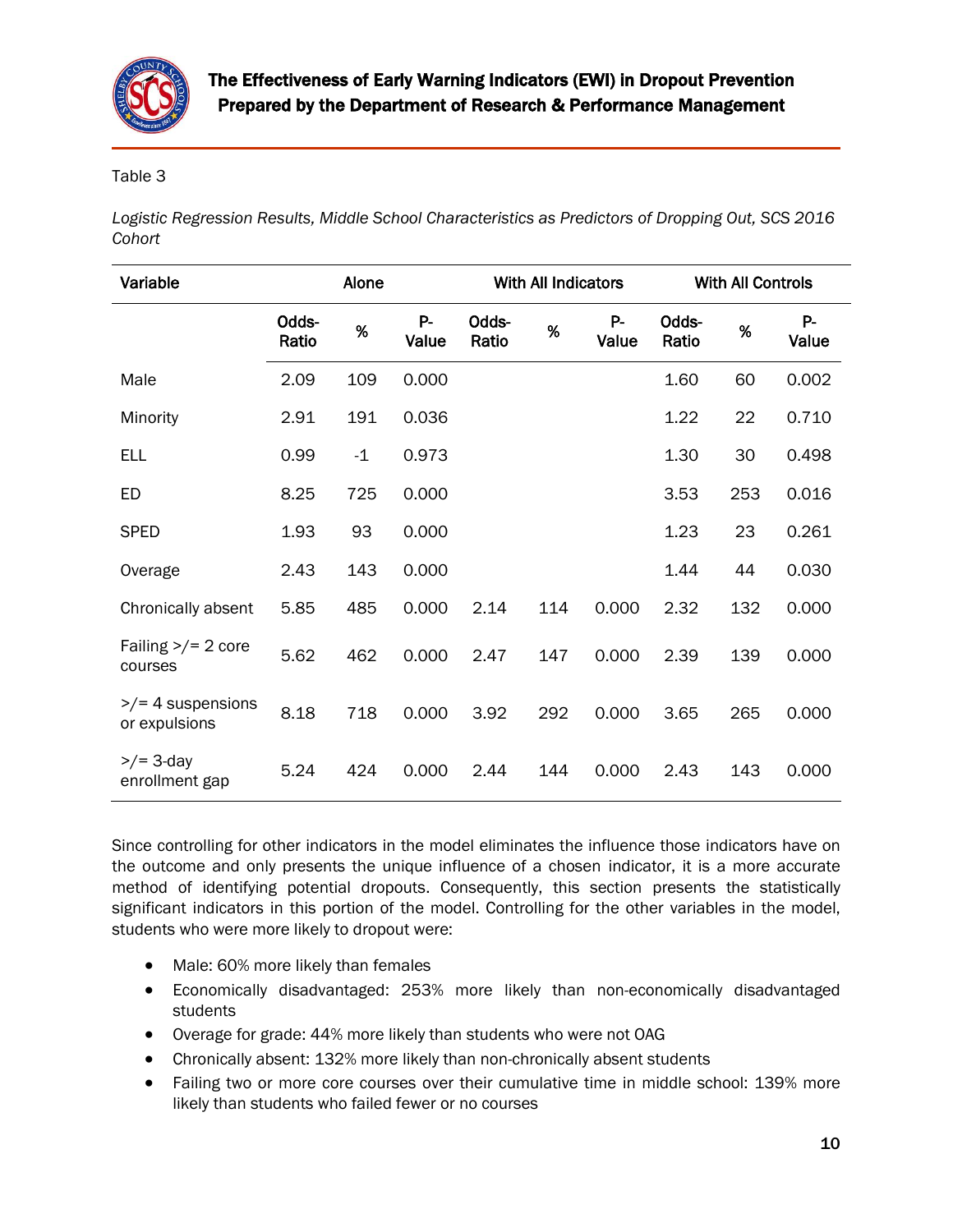

### Table 3

*Logistic Regression Results, Middle School Characteristics as Predictors of Dropping Out, SCS 2016 Cohort*

| Variable                                     | Alone          |      |             | With All Indicators |     |                | <b>With All Controls</b> |     |             |
|----------------------------------------------|----------------|------|-------------|---------------------|-----|----------------|--------------------------|-----|-------------|
|                                              | Odds-<br>Ratio | %    | P-<br>Value | Odds-<br>Ratio      | %   | $P -$<br>Value | Odds-<br>Ratio           | %   | P-<br>Value |
| Male                                         | 2.09           | 109  | 0.000       |                     |     |                | 1.60                     | 60  | 0.002       |
| Minority                                     | 2.91           | 191  | 0.036       |                     |     |                | 1.22                     | 22  | 0.710       |
| <b>ELL</b>                                   | 0.99           | $-1$ | 0.973       |                     |     |                | 1.30                     | 30  | 0.498       |
| <b>ED</b>                                    | 8.25           | 725  | 0.000       |                     |     |                | 3.53                     | 253 | 0.016       |
| <b>SPED</b>                                  | 1.93           | 93   | 0.000       |                     |     |                | 1.23                     | 23  | 0.261       |
| Overage                                      | 2.43           | 143  | 0.000       |                     |     |                | 1.44                     | 44  | 0.030       |
| Chronically absent                           | 5.85           | 485  | 0.000       | 2.14                | 114 | 0.000          | 2.32                     | 132 | 0.000       |
| Failing $\frac{>}{=}$ 2 core<br>courses      | 5.62           | 462  | 0.000       | 2.47                | 147 | 0.000          | 2.39                     | 139 | 0.000       |
| $\frac{p}{q}$ 4 suspensions<br>or expulsions | 8.18           | 718  | 0.000       | 3.92                | 292 | 0.000          | 3.65                     | 265 | 0.000       |
| $\frac{p}{2}$ 3-day<br>enrollment gap        | 5.24           | 424  | 0.000       | 2.44                | 144 | 0.000          | 2.43                     | 143 | 0.000       |

Since controlling for other indicators in the model eliminates the influence those indicators have on the outcome and only presents the unique influence of a chosen indicator, it is a more accurate method of identifying potential dropouts. Consequently, this section presents the statistically significant indicators in this portion of the model. Controlling for the other variables in the model, students who were more likely to dropout were:

- Male: 60% more likely than females
- Economically disadvantaged: 253% more likely than non-economically disadvantaged students
- Overage for grade: 44% more likely than students who were not OAG
- Chronically absent: 132% more likely than non-chronically absent students
- Failing two or more core courses over their cumulative time in middle school: 139% more likely than students who failed fewer or no courses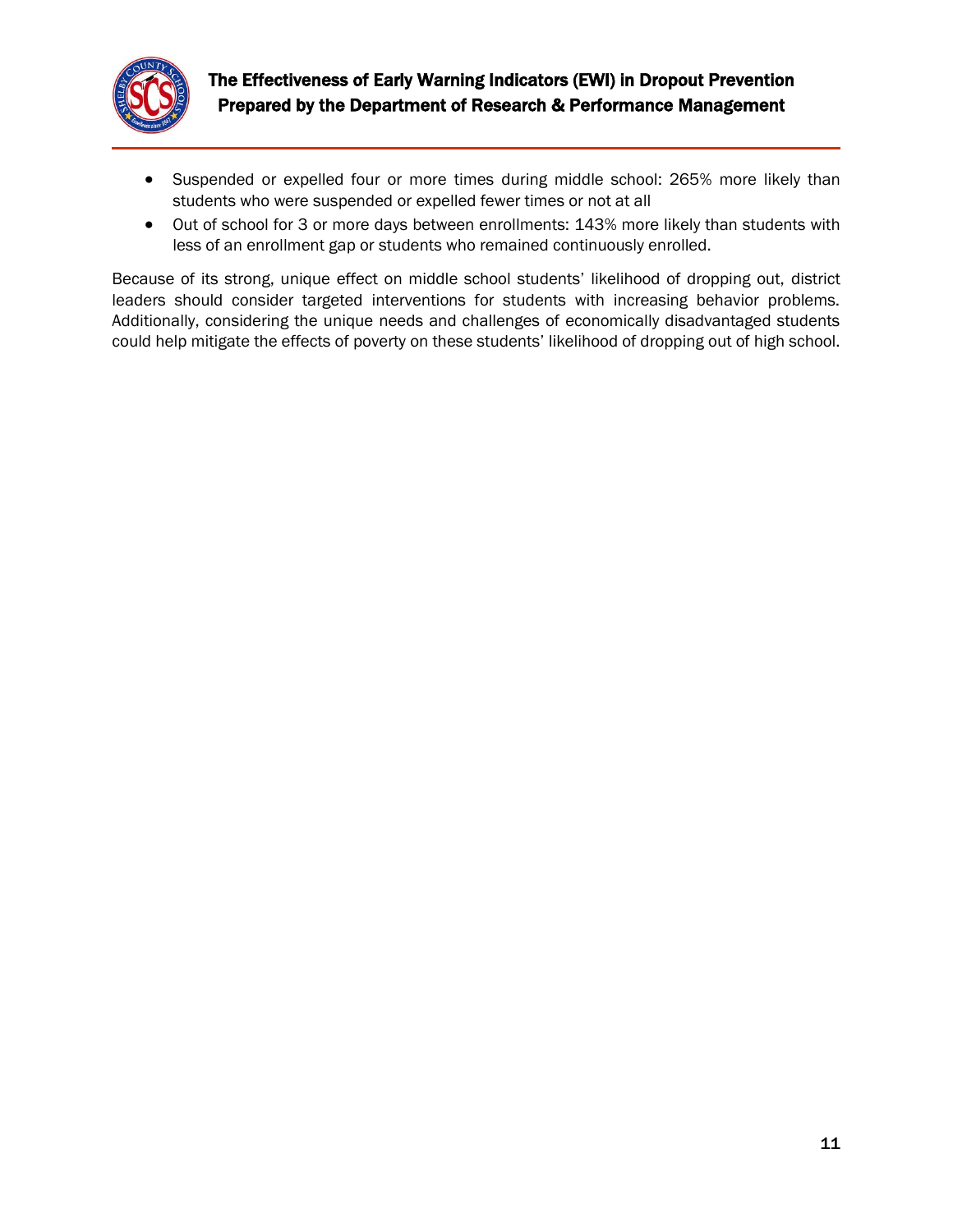

- Suspended or expelled four or more times during middle school: 265% more likely than students who were suspended or expelled fewer times or not at all
- Out of school for 3 or more days between enrollments: 143% more likely than students with less of an enrollment gap or students who remained continuously enrolled.

Because of its strong, unique effect on middle school students' likelihood of dropping out, district leaders should consider targeted interventions for students with increasing behavior problems. Additionally, considering the unique needs and challenges of economically disadvantaged students could help mitigate the effects of poverty on these students' likelihood of dropping out of high school.